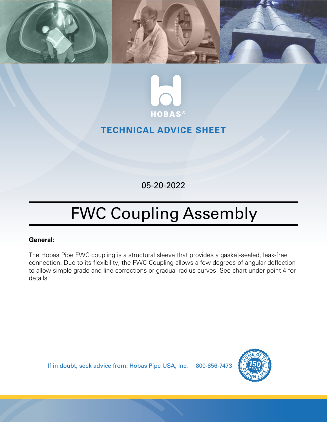



## **TECHNICAL ADVICE SHEET**

05-20-2022

## FWC Coupling Assembly

## **General:**

The Hobas Pipe FWC coupling is a structural sleeve that provides a gasket-sealed, leak-free connection. Due to its flexibility, the FWC Coupling allows a few degrees of angular deflection to allow simple grade and line corrections or gradual radius curves. See chart under point 4 for details.

If in doubt, seek advice from: Hobas Pipe USA, Inc. | 800-856-7473

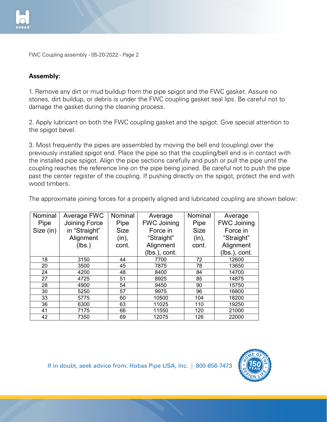

FWC Coupling assembly - 05-20-2022 - Page 2

## **Assembly:**

1. Remove any dirt or mud buildup from the pipe spigot and the FWC gasket. Assure no stones, dirt buildup, or debris is under the FWC coupling gasket seal lips. Be careful not to damage the gasket during the cleaning process.

2. Apply lubricant on both the FWC coupling gasket and the spigot. Give special attention to the spigot bevel.

3. Most frequently the pipes are assembled by moving the bell end (coupling) over the previously installed spigot end. Place the pipe so that the coupling/bell end is in contact with the installed pipe spigot. Align the pipe sections carefully and push or pull the pipe until the coupling reaches the reference line on the pipe being joined. Be careful not to push the pipe past the center register of the coupling. If pushing directly on the spigot, protect the end with wood timbers. coupling. If pushing directly on the spigot, protect the end with wood timbers.

| The approximate joining forces for a properly aligned and lubricated coupling are shown below: |  |  |  |
|------------------------------------------------------------------------------------------------|--|--|--|
|                                                                                                |  |  |  |

| Nominal   | Average FWC   | Nominal     | Average            | Nominal     | Average            |
|-----------|---------------|-------------|--------------------|-------------|--------------------|
| Pipe      | Joining Force | Pipe        | <b>FWC Joining</b> | Pipe        | <b>FWC Joining</b> |
| Size (in) | in "Straight" | <b>Size</b> | Force in           | <b>Size</b> | Force in           |
|           | Alignment     | (in),       | "Straight"         | (in),       | "Straight"         |
|           | (lbs.)        | cont.       | Alignment          | cont.       | Alignment          |
|           |               |             | (lbs.), cont.      |             | (lbs.), cont.      |
| 18        | 3150          | 44          | 7700               | 72          | 12600              |
| 20        | 3500          | 45          | 7875               | 78          | 13650              |
| 24        | 4200          | 48          | 8400               | 84          | 14700              |
| 27        | 4725          | 51          | 8925               | 85          | 14875              |
| 28        | 4900          | 54          | 9450               | 90          | 15750              |
| 30        | 5250          | 57          | 9975               | 96          | 16800              |
| 33        | 5775          | 60          | 10500              | 104         | 18200              |
| 36        | 6300          | 63          | 11025              | 110         | 19250              |
| 41        | 7175          | 66          | 11550              | 120         | 21000              |
| 42        | 7350          | 69          | 12075              | 126         | 22000              |

18-20 18: 19 18: 19 18: 19 18: 19 18: 19 18: 19 18: 19 18: 19 18: 19 18: 19 18: 19 18: 19 18: 19 18: 19 18: 19